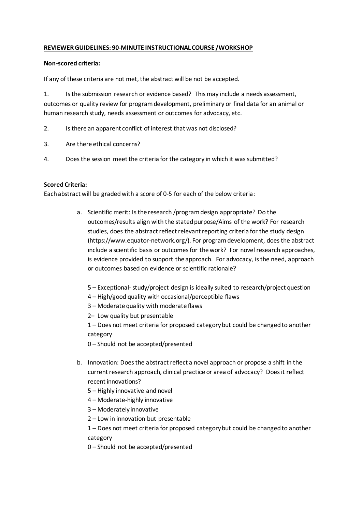## **REVIEWER GUIDELINES: 90-MINUTE INSTRUCTIONAL COURSE /WORKSHOP**

## **Non-scored criteria:**

If any of these criteria are not met, the abstract will be not be accepted.

1. Is the submission research or evidence based? This may include a needs assessment, outcomes or quality review for program development, preliminary or final data for an animal or human research study, needs assessment or outcomes for advocacy, etc.

- 2. Is there an apparent conflict of interest that was not disclosed?
- 3. Are there ethical concerns?
- 4. Does the session meet the criteria for the category in which it was submitted?

## **Scored Criteria:**

Each abstract will be graded with a score of 0-5 for each of the below criteria:

- a. Scientific merit: Is the research /program design appropriate? Do the outcomes/results align with the stated purpose/Aims of the work? For research studies, does the abstract reflect relevant reporting criteria for the study design (https://www.equator-network.org/). For program development, does the abstract include a scientific basis or outcomes for the work? For novel research approaches, is evidence provided to support the approach. For advocacy, is the need, approach or outcomes based on evidence or scientific rationale?
	- 5 Exceptional- study/project design is ideally suited to research/project question
	- 4 High/good quality with occasional/perceptible flaws
	- 3 Moderate quality with moderate flaws
	- 2– Low quality but presentable

1 – Does not meet criteria for proposed category but could be changed to another category

- 0 Should not be accepted/presented
- b. Innovation: Does the abstract reflect a novel approach or propose a shift in the current research approach, clinical practice or area of advocacy? Does it reflect recent innovations?
	- 5 Highly innovative and novel
	- 4 Moderate-highly innovative
	- 3 Moderately innovative
	- 2 Low in innovation but presentable

1 – Does not meet criteria for proposed category but could be changed to another category

0 – Should not be accepted/presented